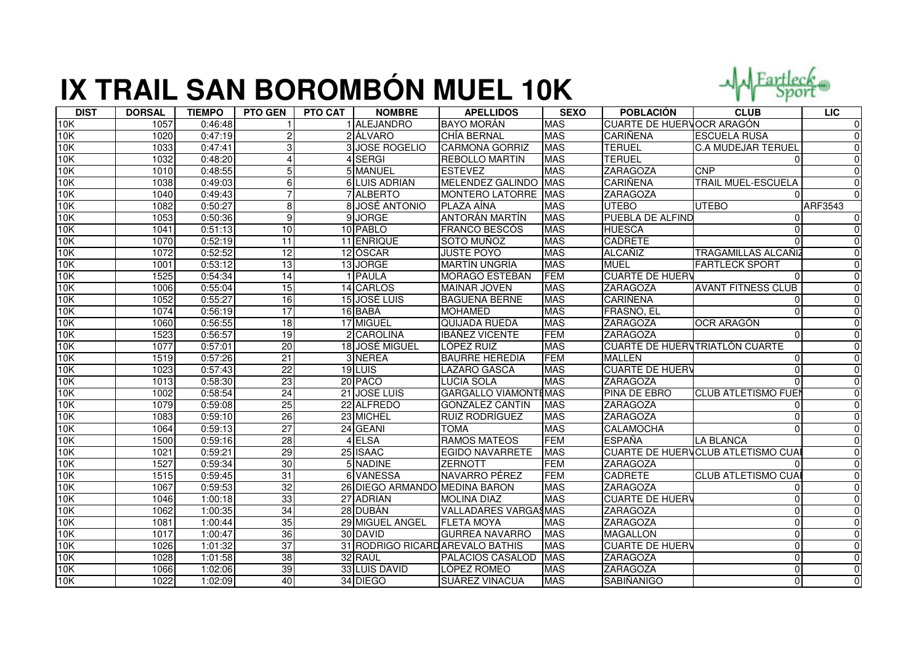## **IX TRAIL SAN BOROMBÓN MUEL 10K**



| <b>DIST</b> | <b>DORSAL</b> | <b>TIEMPO</b> | <b>PTO GEN</b>  | <b>PTO CAT</b> | <b>NOMBRE</b>                 | <b>APELLIDOS</b>                 | <b>SEXO</b> | <b>POBLACIÓN</b>                 | <b>CLUB</b>                              | LIC            |
|-------------|---------------|---------------|-----------------|----------------|-------------------------------|----------------------------------|-------------|----------------------------------|------------------------------------------|----------------|
| 10K         | 1057          | 0:46:48       |                 |                | 1 ALEJANDRO                   | <b>BAYO MORÁN</b>                | <b>MAS</b>  | <b>CUARTE DE HUERVOCR ARAGÓN</b> |                                          | $\mathbf 0$    |
| 10K         | 1020          | 0:47:19       | $\overline{c}$  |                | 2 ÁLVARO                      | <b>CHÍA BERNAL</b>               | <b>MAS</b>  | <b>CARIÑENA</b>                  | <b>ESCUELA RUSA</b>                      | $\overline{0}$ |
| 10K         | 1033          | 0:47:41       | 3               |                | <b>3 JOSE ROGELIO</b>         | <b>CARMONA GORRIZ</b>            | <b>MAS</b>  | <b>TERUEL</b>                    | <b>C.A MUDEJAR TERUEL</b>                | $\Omega$       |
| 10K         | 1032          | 0:48:20       |                 |                | 4 SERGI                       | <b>REBOLLO MARTIN</b>            | <b>MAS</b>  | <b>TERUEL</b>                    |                                          | $\Omega$       |
| 10K         | 1010          | 0:48:55       | 5               |                | 5 MANUEL                      | <b>ESTEVEZ</b>                   | <b>MAS</b>  | <b>ZARAGOZA</b>                  | <b>CNP</b>                               | $\mathbf{0}$   |
| 10K         | 1038          | 0:49:03       | 6               |                | 6 LUIS ADRIAN                 | MELENDEZ GALINDO MAS             |             | <b>CARIÑENA</b>                  | <b>TRAIL MUEL-ESCUELA</b>                | $\Omega$       |
| 10K         | 1040          | 0:49:43       |                 |                | 7 ALBERTO                     | <b>MONTERO LATORRE MAS</b>       |             | <b>ZARAGOZA</b>                  |                                          | $\Omega$       |
| 10K         | 1082          | 0:50:27       | 8               |                | 8 JOSÉ ANTONIO                | PLAZA AÍNA                       | <b>MAS</b>  | <b>UTEBO</b>                     | <b>UTEBO</b>                             | <b>ARF3543</b> |
| <b>10K</b>  | 1053          | 0:50:36       | 9               |                | 9 JORGE                       | ANTORÁN MARTÍN                   | <b>MAS</b>  | PUEBLA DE ALFIND                 |                                          | $\Omega$       |
| 10K         | 1041          | 0:51:13       | 10              |                | 10 PABLO                      | <b>FRANCO BESCÓS</b>             | <b>MAS</b>  | <b>HUESCA</b>                    | $\Omega$                                 | $\mathbf{0}$   |
| 10K         | 1070          | 0:52:19       | $\overline{11}$ |                | 11 ENRIQUE                    | SOTO MUÑOZ                       | <b>MAS</b>  | <b>CADRETE</b>                   |                                          | $\overline{0}$ |
| 10K         | 1072          | 0:52:52       | $\overline{12}$ |                | 12 ÓSCAR                      | <b>JUSTE POYO</b>                | <b>MAS</b>  | <b>ALCAÑIZ</b>                   | TRAGAMILLAS ALCAÑIZ                      | $\Omega$       |
| 10K         | 1001          | 0:53:12       | 13              |                | 13 JORGE                      | <b>MARTÍN UNGRÍA</b>             | <b>MAS</b>  | <b>MUEL</b>                      | <b>FARTLECK SPORT</b>                    | $\overline{0}$ |
| 10K         | 1525          | 0:54:34       | 14              |                | 1 PAULA                       | MORAGO ESTEBAN                   | <b>FEM</b>  | <b>CUARTE DE HUERV</b>           |                                          | $\overline{0}$ |
| 10K         | 1006          | 0:55:04       | 15              |                | 14 CARLOS                     | <b>MAINAR JOVEN</b>              | <b>MAS</b>  | <b>ZARAGOZA</b>                  | <b>AVANT FITNESS CLUB</b>                | $\Omega$       |
| 10K         | 1052          | 0:55:27       | $\overline{16}$ |                | 15 JOSÉ LUIS                  | <b>BAGUENA BERNE</b>             | <b>MAS</b>  | <b>CARIÑENA</b>                  |                                          | $\overline{0}$ |
| 10K         | 1074          | 0:56:19       | $\overline{17}$ |                | 16 BABÁ                       | <b>MOHAMED</b>                   | <b>MAS</b>  | FRASNO, EL                       |                                          | $\Omega$       |
| 10K         | 1060          | 0:56:55       | 18              |                | 17 MIGUEL                     | <b>QUIJADA RUEDA</b>             | <b>MAS</b>  | <b>ZARAGOZA</b>                  | <b>OCR ARAGÓN</b>                        | $\overline{0}$ |
| 10K         | 1523          | 0:56:57       | 19              |                | 2 CAROLINA                    | <b>IBÁÑEZ VICENTE</b>            | <b>FEM</b>  | <b>ZARAGOZA</b>                  |                                          | $\overline{0}$ |
| 10K         | 1077          | 0:57:01       | $\overline{20}$ |                | 18 JOSÉ MIGUEL                | LÓPEZ RUIZ                       | <b>MAS</b>  |                                  | <b>CUARTE DE HUERVIRIATLÓN CUARTE</b>    | $\Omega$       |
| 10K         | 1519          | 0:57:26       | $\overline{21}$ |                | 3 NEREA                       | <b>BAURRE HEREDIA</b>            | <b>FEM</b>  | <b>MALLEN</b>                    |                                          | $\overline{0}$ |
| 10K         | 1023          | 0:57:43       | $\overline{22}$ |                | 19LUIS                        | LAZARO GASCA                     | <b>MAS</b>  | <b>CUARTE DE HUERV</b>           |                                          | $\overline{0}$ |
| 10K         | 1013          | 0:58:30       | 23              |                | 20 PACO                       | <b>LUCIA SOLA</b>                | <b>MAS</b>  | <b>ZARAGOZA</b>                  |                                          | $\Omega$       |
| 10K         | 1002          | 0:58:54       | $\overline{24}$ |                | 21 JOSE LUIS                  | <b>GARGALLO VIAMONTEMAS</b>      |             | PINA DE EBRO                     | <b>CLUB ATLETISMO FUE</b>                | $\overline{0}$ |
| 10K         | 1079          | 0:59:08       | 25              |                | 22 ALFREDO                    | <b>GONZALEZ CANTIN</b>           | <b>MAS</b>  | <b>ZARAGOZA</b>                  |                                          | $\overline{0}$ |
| 10K         | 1083          | 0:59:10       | 26              |                | 23 MICHEL                     | RUIZ RODRÍGUEZ                   | <b>MAS</b>  | <b>ZARAGOZA</b>                  |                                          | $\overline{0}$ |
| 10K         | 1064          | 0:59:13       | 27              |                | 24 GEANI                      | <b>TOMA</b>                      | <b>MAS</b>  | CALAMOCHA                        |                                          | $\mathbf{0}$   |
| 10K         | 1500          | 0:59:16       | 28              |                | 4 ELSA                        | <b>RAMOS MATEOS</b>              | <b>FEM</b>  | <b>ESPAÑA</b>                    | <b>LA BLANCA</b>                         | $\overline{0}$ |
| 10K         | 1021          | 0:59:21       | 29              |                | 25 ISAAC                      | <b>EGIDO NAVARRETE</b>           | <b>MAS</b>  |                                  | <b>CUARTE DE HUERVCLUB ATLETISMO CUA</b> | $\overline{0}$ |
| 10K         | 1527          | 0:59:34       | 30              |                | 5 NADINE                      | <b>ZERNOTT</b>                   | <b>FEM</b>  | <b>ZARAGOZA</b>                  |                                          | $\overline{0}$ |
| 10K         | 1515          | 0:59:45       | $\overline{31}$ |                | 6 VANESSA                     | <b>NAVARRO PÉREZ</b>             | <b>FEM</b>  | CADRETE                          | <b>CLUB ATLETISMO CUA</b>                | $\Omega$       |
| 10K         | 1067          | 0:59:53       | 32              |                | 26 DIEGO ARMANDO MEDINA BARON |                                  | <b>MAS</b>  | <b>ZARAGOZA</b>                  |                                          | $\overline{0}$ |
| 10K         | 1046          | 1:00:18       | 33              |                | 27 ADRIAN                     | <b>MOLINA DIAZ</b>               | <b>MAS</b>  | <b>CUARTE DE HUERV</b>           | $\Omega$                                 | $\overline{0}$ |
| 10K         | 1062          | 1:00:35       | 34              |                | 28 DUBÁN                      | <b>VALLADARES VARGASMAS</b>      |             | ZARAGOZA                         |                                          | $\overline{0}$ |
| 10K         | 1081          | 1:00:44       | 35              |                | 29 MIGUEL ANGEL               | <b>FLETA MOYA</b>                | <b>MAS</b>  | <b>ZARAGOZA</b>                  |                                          | $\mathbf 0$    |
| 10K         | 1017          | 1:00:47       | 36              |                | 30 DAVID                      | <b>GURREA NAVARRO</b>            | <b>MAS</b>  | <b>MAGALLON</b>                  |                                          | $\overline{0}$ |
| 10K         | 1026          | 1:01:32       | $\overline{37}$ |                |                               | 31 RODRIGO RICARD AREVALO BATHIS | <b>MAS</b>  | <b>CUARTE DE HUERV</b>           | 0                                        | $\overline{0}$ |
| 10K         | 1028          | 1:01:58       | 38              |                | 32 RAÚL                       | PALACIOS CASALOD                 | <b>MAS</b>  | <b>ZARAGOZA</b>                  | $\Omega$                                 | $\Omega$       |
| 10K         | 1066          | 1:02:06       | 39              |                | 33 LUIS DAVID                 | LÓPEZ ROMEO                      | <b>MAS</b>  | <b>ZARAGOZA</b>                  |                                          | $\overline{0}$ |
| 10K         | 1022          | 1:02:09       | 40              |                | 34 DIEGO                      | SUÁREZ VINACUA                   | <b>MAS</b>  | <b>SABIÑANIGO</b>                | $\Omega$                                 | $\mathbf{0}$   |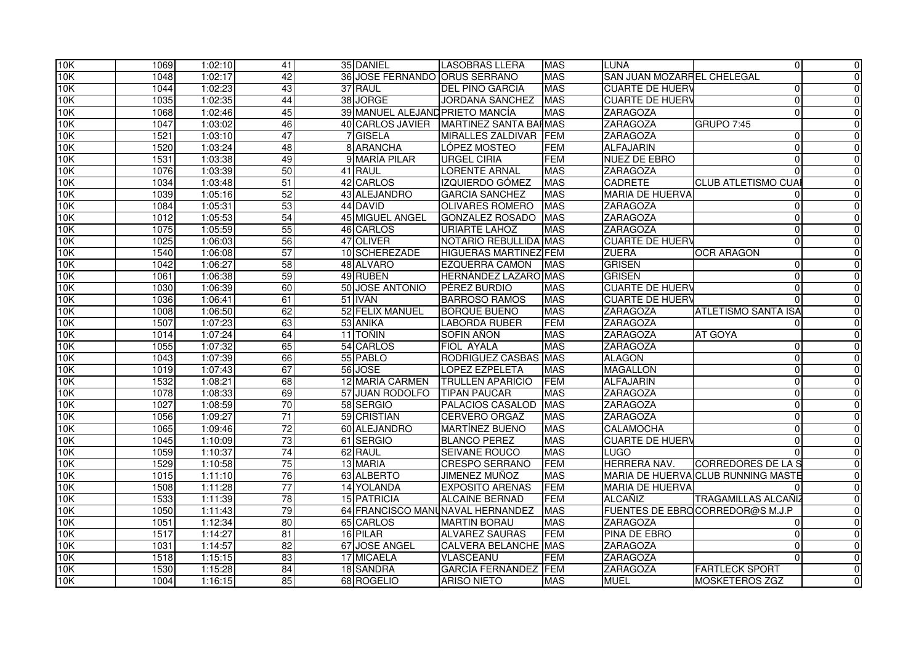| 10K | 1069 | 1:02:10 | 41              | 35 DANIEL                       | <b>LASOBRAS LLERA</b>            | <b>MAS</b> | <b>LUNA</b>                | $\Omega$                           | $\overline{0}$ |
|-----|------|---------|-----------------|---------------------------------|----------------------------------|------------|----------------------------|------------------------------------|----------------|
| 10K | 1048 | 1:02:17 | 42              | 36 JOSE FERNANDO ORUS SERRANO   |                                  | <b>MAS</b> | SAN JUAN MOZARFEL CHELEGAL |                                    | $\overline{0}$ |
| 10K | 1044 | 1:02:23 | 43              | 37 RAUL                         | <b>DEL PINO GARCIA</b>           | <b>MAS</b> | <b>CUARTE DE HUERV</b>     | $\Omega$                           | $\overline{0}$ |
| 10K | 1035 | 1:02:35 | 44              | 38 JORGE                        | <b>JORDANA SÁNCHEZ</b>           | <b>MAS</b> | <b>CUARTE DE HUERV</b>     | $\Omega$                           | $\Omega$       |
| 10K | 1068 | 1:02:46 | 45              | 39 MANUEL ALEJAND PRIETO MANCÍA |                                  | <b>MAS</b> | <b>ZARAGOZA</b>            | $\Omega$                           | $\overline{0}$ |
| 10K | 1047 | 1:03:02 | 46              | 40 CARLOS JAVIER                | <b>MARTINEZ SANTA BAHMAS</b>     |            | <b>ZARAGOZA</b>            | <b>GRUPO 7:45</b>                  | $\overline{0}$ |
| 10K | 1521 | 1:03:10 | 47              | 7 GISELA                        | MIRALLES ZALDIVAR FEM            |            | <b>ZARAGOZA</b>            | $\Omega$                           | $\overline{0}$ |
| 10K | 1520 | 1:03:24 | 48              | 8 ARANCHA                       | LÓPEZ MOSTEO                     | <b>FEM</b> | <b>ALFAJARIN</b>           | $\Omega$                           | $\overline{0}$ |
| 10K | 1531 | 1:03:38 | 49              | 9 MARÍA PILAR                   | <b>URGEL CIRIA</b>               | <b>FEM</b> | <b>NUEZ DE EBRO</b>        | $\Omega$                           | $\overline{0}$ |
| 10K | 1076 | 1:03:39 | 50              | 41 RAUL                         | <b>LORENTE ARNAL</b>             | <b>MAS</b> | <b>ZARAGOZA</b>            |                                    | $\overline{0}$ |
| 10K | 1034 | 1:03:48 | 51              | 42 CARLOS                       | <b>IZQUIERDO GÓMEZ</b>           | <b>MAS</b> | <b>CADRETE</b>             | <b>CLUB ATLETISMO CUA</b>          | $\overline{0}$ |
| 10K | 1039 | 1:05:16 | 52              | 43 ALEJANDRO                    | <b>GARCIA SANCHEZ</b>            | <b>MAS</b> | <b>MARIA DE HUERVA</b>     |                                    | $\overline{0}$ |
| 10K | 1084 | 1:05:31 | 53              | 44 DAVID                        | <b>OLIVARES ROMERO</b>           | <b>MAS</b> | ZARAGOZA                   | $\Omega$                           | $\overline{0}$ |
| 10K | 1012 | 1:05:53 | 54              | 45 MIGUEL ANGEL                 | <b>GONZALEZ ROSADO</b>           | <b>MAS</b> | <b>ZARAGOZA</b>            | $\Omega$                           | $\overline{0}$ |
| 10K | 1075 | 1:05:59 | 55              | 46 CARLOS                       | <b>URIARTE LAHOZ</b>             | <b>MAS</b> | <b>ZARAGOZA</b>            | $\Omega$                           | $\overline{0}$ |
| 10K | 1025 | 1:06:03 | 56              | 47 OLIVER                       | <b>NOTARIO REBULLIDA MAS</b>     |            | <b>CUARTE DE HUERV</b>     | $\Omega$                           | $\overline{0}$ |
| 10K | 1540 | 1:06:08 | 57              | 10 SCHEREZADE                   | <b>HIGUERAS MARTINEZ FEM</b>     |            | <b>ZUERA</b>               | <b>OCR ARAGON</b>                  | $\overline{0}$ |
| 10K | 1042 | 1:06:27 | 58              | 48 ALVARO                       | EZQUERRA CAMON                   | <b>MAS</b> | <b>GRISEN</b>              | $\Omega$                           | $\overline{0}$ |
| 10K | 1061 | 1:06:38 | 59              | 49 RUBEN                        | <b>HERNÁNDEZ LAZARO MAS</b>      |            | <b>GRISEN</b>              | $\Omega$                           | $\overline{0}$ |
| 10K | 1030 | 1:06:39 | 60              | 50 JOSE ANTONIO                 | PÉREZ BURDIO                     | <b>MAS</b> | <b>CUARTE DE HUER\</b>     | $\Omega$                           | $\overline{0}$ |
| 10K | 1036 | 1:06:41 | 61              | 51 IVÁN                         | <b>BARROSO RAMOS</b>             | <b>MAS</b> | <b>CUARTE DE HUERV</b>     | $\Omega$                           | $\overline{0}$ |
| 10K | 1008 | 1:06:50 | 62              | 52 FELIX MANUEL                 | <b>BORQUE BUENO</b>              | <b>MAS</b> | <b>ZARAGOZA</b>            | <b>ATLETISMO SANTA ISA</b>         | $\overline{0}$ |
| 10K | 1507 | 1:07:23 | 63              | 53 ANIKA                        | <b>LABORDA RUBER</b>             | <b>FEM</b> | <b>ZARAGOZA</b>            |                                    | $\overline{0}$ |
| 10K | 1014 | 1:07:24 | 64              | 11 TOÑIN                        | SOFIN AÑON                       | <b>MAS</b> | <b>ZARAGOZA</b>            | <b>AT GOYA</b>                     | $\overline{0}$ |
| 10K | 1055 | 1:07:32 | 65              | 54 CARLOS                       | <b>FIOL AYALA</b>                | <b>MAS</b> | <b>ZARAGOZA</b>            |                                    | $\overline{0}$ |
| 10K | 1043 | 1:07:39 | 66              | 55 PABLO                        | RODRIGUEZ CASBAS MAS             |            | <b>ALAGON</b>              | $\Omega$                           | $\overline{0}$ |
| 10K | 1019 | 1:07:43 | 67              | 56 JOSE                         | <b>LOPEZ EZPELETA</b>            | <b>MAS</b> | <b>MAGALLON</b>            | $\Omega$                           | $\Omega$       |
| 10K | 1532 | 1:08:21 | 68              | 12 MARÍA CARMEN                 | <b>TRULLEN APARICIO</b>          | <b>FEM</b> | <b>ALFAJARIN</b>           | $\Omega$                           | $\Omega$       |
| 10K | 1078 | 1:08:33 | 69              | 57 JUAN RODOLFO                 | <b>TIPAN PAUCAR</b>              | <b>MAS</b> | <b>ZARAGOZA</b>            | $\Omega$                           | $\overline{0}$ |
| 10K | 1027 | 1:08:59 | 70              | 58 SERGIO                       | PALACIOS CASALOD                 | <b>MAS</b> | <b>ZARAGOZA</b>            | $\Omega$                           | $\overline{0}$ |
| 10K | 1056 | 1:09:27 | $\overline{71}$ | 59 CRISTIAN                     | <b>CERVERO ORGAZ</b>             | <b>MAS</b> | <b>ZARAGOZA</b>            |                                    | $\overline{0}$ |
| 10K | 1065 | 1:09:46 | 72              | 60 ALEJANDRO                    | <b>MARTÍNEZ BUENO</b>            | <b>MAS</b> | <b>CALAMOCHA</b>           | $\Omega$                           | $\overline{0}$ |
| 10K | 1045 | 1:10:09 | 73              | 61 SERGIO                       | <b>BLANCO PEREZ</b>              | <b>MAS</b> | <b>CUARTE DE HUERV</b>     | $\Omega$                           | $\overline{0}$ |
| 10K | 1059 | 1:10:37 | 74              | 62 RAUL                         | <b>SEIVANE ROUCO</b>             | <b>MAS</b> | <b>LUGO</b>                |                                    | $\overline{0}$ |
| 10K | 1529 | 1:10:58 | $\overline{75}$ | 13 MARIA                        | <b>CRESPO SERRANO</b>            | <b>FEM</b> | HERRERA NAV.               | <b>CORREDORES DE LA S</b>          | $\overline{0}$ |
| 10K | 1015 | 1:11:10 | 76              | 63 ALBERTO                      | JIMENEZ MUÑOZ                    | <b>MAS</b> |                            | MARIA DE HUERVA CLUB RUNNING MASTE | $\Omega$       |
| 10K | 1508 | 1:11:28 | 77              | <b>14 YOLANDA</b>               | <b>EXPOSITO ARENAS</b>           | <b>FEM</b> | <b>MARIA DE HUERVA</b>     |                                    | $\overline{0}$ |
|     |      |         | 78              | <b>15 PATRICIA</b>              | <b>ALCAINE BERNAD</b>            | <b>FEM</b> |                            | <b>TRAGAMILLAS ALCAÑIZ</b>         |                |
| 10K | 1533 | 1:11:39 | 79              |                                 |                                  | <b>MAS</b> | ALCAÑIZ                    |                                    | $\overline{0}$ |
| 10K | 1050 | 1:11:43 |                 |                                 | 64 FRANCISCO MANUNAVAL HERNANDEZ |            |                            | FUENTES DE EBROCORREDOR@S M.J.P    | $\overline{0}$ |
| 10K | 1051 | 1:12:34 | 80              | 65 CARLOS                       | <b>MARTIN BORAU</b>              | <b>MAS</b> | <b>ZARAGOZA</b>            | $\Omega$                           | $\overline{0}$ |
| 10K | 1517 | 1:14:27 | 81              | 16 PILAR                        | <b>ALVAREZ SAURAS</b>            | <b>FEM</b> | <b>PINA DE EBRO</b>        | $\Omega$                           | $\overline{0}$ |
| 10K | 1031 | 1:14:57 | 82              | 67 JOSE ANGEL                   | <b>CALVERA BELANCHE MAS</b>      |            | <b>ZARAGOZA</b>            | $\Omega$                           | $\overline{0}$ |
| 10K | 1518 | 1:15:15 | 83              | 17 MICAELA                      | <b>VLASCEANU</b>                 | <b>FEM</b> | <b>ZARAGOZA</b>            | $\Omega$                           | $\overline{0}$ |
| 10K | 1530 | 1:15:28 | 84              | 18 SANDRA                       | <b>GARCÍA FERNÁNDEZ</b>          | <b>FEM</b> | ZARAGOZA                   | <b>FARTLECK SPORT</b>              | $\overline{0}$ |
| 10K | 1004 | 1:16:15 | 85              | 68 ROGELIO                      | <b>ARISO NIETO</b>               | <b>MAS</b> | <b>MUEL</b>                | <b>MOSKETEROS ZGZ</b>              | $\overline{0}$ |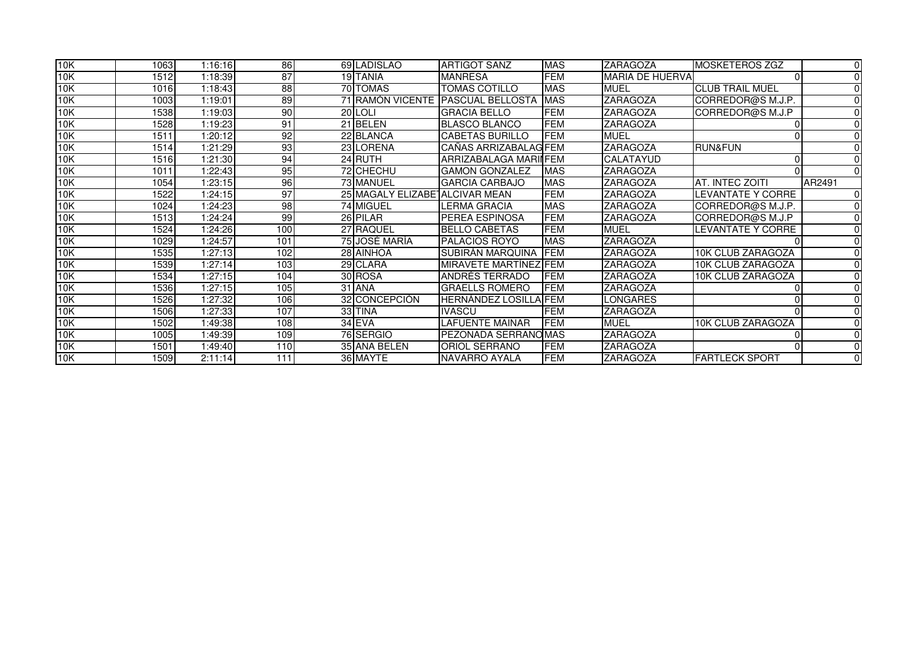| 10K | 1063 | 1:16:16 | 86  | 69 LADISLAO                    | <b>ARTIGOT SANZ</b>     | <b>MAS</b> | <b>ZARAGOZA</b>        | <b>MOSKETEROS ZGZ</b>    | 0        |
|-----|------|---------|-----|--------------------------------|-------------------------|------------|------------------------|--------------------------|----------|
| 10K | 1512 | 1:18:39 | 87  | 19 TANIA                       | <b>MANRESA</b>          | <b>FEM</b> | <b>MARIA DE HUERVA</b> |                          |          |
| 10K | 1016 | 1:18:43 | 88  | 70 TOMAS                       | TOMAS COTILLO           | <b>MAS</b> | <b>MUEL</b>            | <b>ICLUB TRAIL MUEL</b>  |          |
| 10K | 1003 | 1:19:01 | 89  | 71 RAMÓN VICENTE               | <b>PASCUAL BELLOSTA</b> | <b>MAS</b> | <b>ZARAGOZA</b>        | CORREDOR@S M.J.P.        | 0        |
| 10K | 1538 | 1:19:03 | 90  | 20LOLI                         | <b>GRACIA BELLO</b>     | <b>FEM</b> | <b>ZARAGOZA</b>        | CORREDOR@S M.J.P         |          |
| 10K | 1528 | 1:19:23 | 91  | 21 BELEN                       | <b>BLASCO BLANCO</b>    | <b>FEM</b> | <b>ZARAGOZA</b>        |                          |          |
| 10K | 1511 | 1:20:12 | 92  | 22 BLANCA                      | <b>CABETAS BURILLO</b>  | <b>FEM</b> | <b>MUEL</b>            |                          | $\Omega$ |
| 10K | 1514 | 1:21:29 | 93  | 23 LORENA                      | CAÑAS ARRIZABALAG FEM   |            | <b>ZARAGOZA</b>        | <b>RUN&amp;FUN</b>       |          |
| 10K | 1516 | 1:21:30 | 94  | 24 RUTH                        | ARRIZABALAGA MARII FEM  |            | <b>CALATAYUD</b>       |                          |          |
| 10K | 1011 | 1:22:43 | 95  | 72 CHECHU                      | <b>GAMON GONZALEZ</b>   | <b>MAS</b> | <b>ZARAGOZA</b>        |                          |          |
| 10K | 1054 | 1:23:15 | 96  | 73 MANUEL                      | <b>GARCIA CARBAJO</b>   | <b>MAS</b> | <b>ZARAGOZA</b>        | AT. INTEC ZOITI          | AR2491   |
| 10K | 1522 | 1:24:15 | 97  | 25 MAGALY ELIZABETALCIVAR MEAN |                         | <b>FEM</b> | <b>ZARAGOZA</b>        | <b>LEVANTATE Y CORRE</b> | 0        |
| 10K | 1024 | 1:24:23 | 98  | <b>74 MIGUEL</b>               | <b>LERMA GRACIA</b>     | <b>MAS</b> | <b>ZARAGOZA</b>        | CORREDOR@S M.J.P.        |          |
| 10K | 1513 | 1:24:24 | 99  | 26 PILAR                       | PEREA ESPINOSA          | <b>FEM</b> | <b>ZARAGOZA</b>        | CORREDOR@S M.J.P         |          |
| 10K | 1524 | 1:24:26 | 100 | 27 RAQUEL                      | <b>BELLO CABETAS</b>    | <b>FEM</b> | <b>MUEL</b>            | <b>LEVANTATE Y CORRE</b> | U        |
| 10K | 1029 | 1:24:57 | 101 | 75 JOSÉ MARÍA                  | <b>PALACIOS ROYO</b>    | <b>MAS</b> | <b>ZARAGOZA</b>        |                          | $\Omega$ |
| 10K | 1535 | 1:27:13 | 102 | 28 AINHOA                      | <b>SUBIRÁN MARQUINA</b> | <b>FEM</b> | ZARAGOZA               | 10K CLUB ZARAGOZA        |          |
| 10K | 1539 | 1:27:14 | 103 | 29 CLARA                       | MIRAVETE MARTÍNEZ FEM   |            | ZARAGOZA               | 10K CLUB ZARAGOZA        | $\Omega$ |
| 10K | 1534 | 1:27:15 | 104 | 30 ROSA                        | ANDRÉS TERRADO          | <b>FEM</b> | <b>ZARAGOZA</b>        | 10K CLUB ZARAGOZA        |          |
| 10K | 1536 | 1:27:15 | 105 | 31 ANA                         | <b>GRAELLS ROMERO</b>   | <b>FEM</b> | <b>ZARAGOZA</b>        |                          |          |
| 10K | 1526 | 1:27:32 | 106 | 32 CONCEPCIÓN                  | HERNÁNDEZ LOSILLA FEM   |            | LONGARES               |                          |          |
| 10K | 1506 | 1:27:33 | 107 | 33 TINA                        | <b>IVASCU</b>           | <b>FEM</b> | <b>ZARAGOZA</b>        |                          |          |
| 10K | 1502 | 1:49:38 | 108 | $34$ EVA                       | <b>LAFUENTE MAINAR</b>  | <b>FEM</b> | <b>MUEL</b>            | 10K CLUB ZARAGOZA        |          |
| 10K | 1005 | 1:49:39 | 109 | 76 SERGIO                      | PEZONADA SERRANOMAS     |            | <b>ZARAGOZA</b>        |                          |          |
| 10K | 1501 | 1:49:40 | 110 | 35 ANA BELEN                   | <b>ORIOL SERRANO</b>    | <b>FEM</b> | <b>ZARAGOZA</b>        |                          | $\Omega$ |
| 10K | 1509 | 2:11:14 | 111 | 36 MAYTE                       | NAVARRO AYALA           | <b>FEM</b> | <b>ZARAGOZA</b>        | <b>FARTLECK SPORT</b>    | 0        |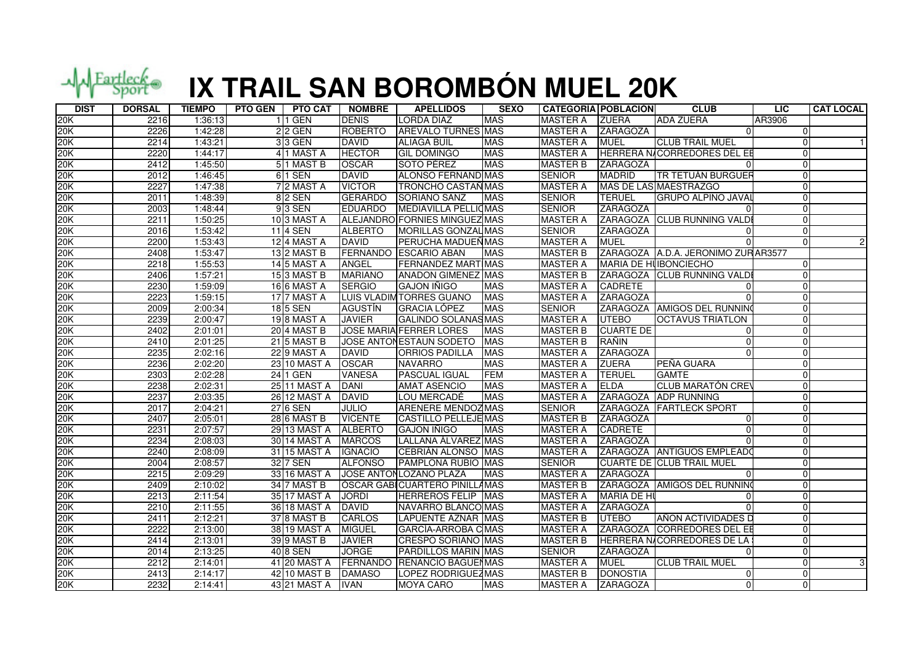

## **IX TRAIL SAN BOROMBÓN MUEL 20K**

| 20K<br><b>ADA ZUERA</b><br>2216<br>1:36:13<br>$11$ GEN<br><b>DENIS</b><br><b>LORDA DIAZ</b><br><b>MAS</b><br><b>MASTER A</b><br><b>ZUERA</b><br>AR3906<br>20K<br><b>ROBERTO</b><br>2226<br>1:42:28<br>$2$ 2 GEN<br>AREVALO TURNES MAS<br><b>MASTER A</b><br><b>ZARAGOZA</b><br>$\Omega$<br>U<br>20K<br><b>DAVID</b><br><b>MASTER A</b><br><b>CLUB TRAIL MUEL</b><br>2214<br>1:43:21<br>3 3 GEN<br><b>ALIAGA BUIL</b><br><b>MAS</b><br><b>MUEL</b><br>$\Omega$<br>20K<br>2220<br><b>HECTOR</b><br><b>MAS</b><br>1:44:17<br>4 1 MAST A<br><b>GIL DOMINGO</b><br><b>MASTER A</b><br>HERRERA N/CORREDORES DEL EE<br>SOTO PÉREZ<br><b>MASTER B</b><br>2412<br>1:45:50<br>51 MAST B<br><b>OSCAR</b><br><b>MAS</b><br><b>ZARAGOZA</b><br>20K<br>$\Omega$<br>20K<br><b>ALONSO FERNAND MAS</b><br><b>TR TETUÁN BURGUEF</b><br>6 1 SEN<br><b>DAVID</b><br><b>SENIOR</b><br><b>MADRID</b><br>2012<br>1:46:45<br>20K<br>2227<br>72 MAST A<br><b>VICTOR</b><br><b>TRONCHO CASTAÑ MAS</b><br><b>MASTER A</b><br>MAS DE LAS MAESTRAZGO<br>1:47:38<br><b>GERARDO</b><br><b>TERUEL</b><br>20K<br>1:48:39<br>8 2 SEN<br>SORIANO SANZ<br><b>MAS</b><br><b>SENIOR</b><br><b>GRUPO ALPINO JAVAL</b><br>2011<br>U<br>20K<br>MEDIAVILLA PELLICMAS<br>2003<br>1:48:44<br>$93$ SEN<br><b>EDUARDO</b><br><b>SENIOR</b><br><b>ZARAGOZA</b><br>20K<br>ALEJANDRO FORNIES MINGUEZ MAS<br>2211<br>1:50:25<br>10 3 MAST A<br><b>MASTER A</b><br>ZARAGOZA CLUB RUNNING VALD<br>U<br>20K<br>2016<br>1:53:42<br>11 4 SEN<br><b>ALBERTO</b><br>MORILLAS GONZAL MAS<br><b>SENIOR</b><br>ZARAGOZA<br>$\Omega$<br>20K<br>2200<br>1:53:43<br>12 4 MAST A<br><b>DAVID</b><br>PERUCHA MADUEÑ MAS<br><b>MASTER A</b><br><b>MUEL</b><br>0<br>20K<br>13 2 MAST B<br><b>FERNANDO ESCARIO ABAN</b><br><b>MASTER B</b><br>ZARAGOZA A.D.A. JERONIMO ZURAR3577<br>2408<br>1:53:47<br><b>MAS</b><br>20K<br>2218<br><b>ANGEL</b><br><b>FERNANDEZ MART MAS</b><br><b>MASTER A</b><br>MARIA DE HUBONCIECHO<br>1:55:53<br>14 5 MAST A<br>1:57:21<br><b>MASTER B</b><br>20K<br>2406<br>153 MAST B<br><b>MARIANO</b><br><b>ANADON GIMENEZ MAS</b><br>ZARAGOZA CLUB RUNNING VALD<br>20K<br>2230<br>1:59:09<br><b>SERGIO</b><br><b>MAS</b><br><b>MASTER A</b><br>16 6 MAST A<br><b>GAJON IÑIGO</b><br><b>CADRETE</b><br>U<br><b>ZARAGOZA</b><br>20K<br>2223<br>1:59:15<br>17 7 MAST A<br>LUIS VLADIM TORRES GUANO<br><b>MAS</b><br><b>MASTER A</b><br>$\Omega$<br><b>GRACIA LÓPEZ</b><br>ZARAGOZA AMIGOS DEL RUNNINO<br>20K<br>2009<br>2:00:34<br>18 5 SEN<br><b>AGUSTÍN</b><br><b>MAS</b><br><b>SENIOR</b><br>U<br>20K<br>2239<br><b>19 8 MAST A</b><br><b>JAVIER</b><br><b>GALINDO SOLANASMAS</b><br><b>MASTER A</b><br><b>UTEBO</b><br><b>OCTAVUS TRIATLON</b><br>2:00:47<br><b>JOSE MARIA FERRER LORES</b><br>20K<br>2402<br>2:01:01<br><b>20 4 MAST B</b><br><b>MAS</b><br><b>MASTER B</b><br><b>CUARTE DE</b><br>$\Omega$<br>20K<br>2:01:25<br>21 5 MAST B<br>JOSE ANTONESTAUN SODETO<br><b>MAS</b><br><b>MASTER B</b><br>RAÑIN<br>2410<br>0<br>20K<br>2235<br>2:02:16<br>22 9 MAST A<br><b>DAVID</b><br><b>MAS</b><br><b>MASTER A</b><br><b>ZARAGOZA</b><br><b>ORRIOS PADILLA</b><br>$\Omega$<br>20K<br>PEÑA GUARA<br>2236<br>2:02:20<br>23 10 MAST A<br><b>OSCAR</b><br><b>NAVARRO</b><br><b>MAS</b><br><b>MASTER A</b><br><b>ZUERA</b><br>U<br>20K<br><b>FEM</b><br><b>TERUEL</b><br>2303<br>2:02:28<br>24 1 GEN<br><b>VANESA</b><br><b>PASCUAL IGUAL</b><br><b>MASTER A</b><br><b>GAMTE</b><br>U<br>20K<br>2238<br>2:02:31<br><b>DANI</b><br><b>MAS</b><br><b>MASTER A</b><br>25 11 MAST A<br><b>AMAT ASENCIO</b><br><b>ELDA</b><br>CLUB MARATÓN CRE<br>0<br>20K<br>26 12 MAST A<br><b>DAVID</b><br>LOU MERCADÉ<br><b>MAS</b><br><b>MASTER A</b><br>ZARAGOZA ADP RUNNING<br>2237<br>2:03:35<br>U<br>ARENERE MENDOZ MAS<br>20K<br>2017<br>2:04:21<br>27 6 SEN<br><b>JULIO</b><br><b>SENIOR</b><br>ZARAGOZA FARTLECK SPORT<br><b>MASTER B</b><br>20K<br>2407<br>2:05:01<br><b>28 6 MAST B</b><br><b>VICENTE</b><br><b>CASTILLO PELLEJE MAS</b><br><b>ZARAGOZA</b><br>$\Omega$<br>$\Omega$<br>20K<br><b>ALBERTO</b><br><b>GAJON IÑIGO</b><br><b>MAS</b><br><b>MASTER A</b><br><b>CADRETE</b><br>2231<br>2:07:57<br>29 13 MAST A<br>20K<br>2234<br>2:08:03<br>LALLANA ÁLVAREZ MAS<br><b>MASTER A</b><br><b>ZARAGOZA</b><br>30 14 MAST A<br><b>MARCOS</b><br>0<br>ZARAGOZA ANTIGUOS EMPLEADO<br>20K<br>2240<br>2:08:09<br>31 15 MAST A<br><b>IGNACIO</b><br>CEBRIÁN ALONSO MAS<br><b>MASTER A</b><br>0<br>20K<br>32 7 SEN<br>PAMPLONA RUBIO MAS<br><b>SENIOR</b><br><b>CUARTE DE CLUB TRAIL MUEL</b><br>2004<br>2:08:57<br><b>ALFONSO</b><br>JOSE ANTON LOZANO PLAZA<br><b>MASTER A</b><br><b>ZARAGOZA</b><br>20K<br>2215<br>2:09:29<br>33 16 MAST A<br><b>MAS</b><br>$\Omega$<br>20K<br>ÓSCAR GABICUARTERO PINILLAMAS<br><b>MASTER B</b><br>ZARAGOZA AMIGOS DEL RUNNINO<br>2409<br>2:10:02<br>34 7 MAST B<br>20K<br><b>MASTER A</b><br>2213<br>2:11:54<br>35 17 MAST A<br><b>JORDI</b><br><b>HERREROS FELIP MAS</b><br><b>MARIA DE HI</b><br>U<br>20K<br><b>DAVID</b><br><b>MASTER A</b><br><b>ZARAGOZA</b><br>2210<br>2:11:55<br>36 18 MAST A<br>NAVARRO BLANCO MAS<br>U<br>20K<br>2:12:21<br>37 8 MAST B<br><b>CARLOS</b><br><b>LAPUENTE AZNAR MAS</b><br><b>MASTER B</b><br><b>UTEBO</b><br>AÑON ACTIVIDADES D<br>2411<br>2222<br>2:13:00<br><b>MIGUEL</b><br><b>MASTER A</b><br>ZARAGOZA CORREDORES DEL EE<br>20K<br>38 19 MAST A<br>GARCÍA-ARROBA C MAS<br>20K<br><b>CRESPO SORIANO MAS</b><br><b>MASTER B</b><br>2414<br>2:13:01<br>39 9 MAST B<br><b>JAVIER</b><br>HERRERA N/CORREDORES DE LA<br><b>JORGE</b><br>20K<br>2:13:25<br>40 8 SEN<br><b>PARDILLOS MARIN MAS</b><br><b>SENIOR</b><br><b>ZARAGOZA</b><br>2014<br>U<br>20K<br>2212<br>2:14:01<br>41 20 MAST A FERNANDO RENANCIO BAGUEI MAS<br><b>MASTER A</b><br><b>MUEL</b><br><b>CLUB TRAIL MUEL</b><br>0<br>LOPEZ RODRIGUEZ MAS<br>U | <b>DIST</b> | <b>DORSAL</b> | <b>TIEMPO</b> | <b>PTO GEN</b><br><b>PTO CAT</b> | <b>NOMBRE</b> | <b>APELLIDOS</b> | <b>SEXO</b> | <b>CATEGORÍA POBLACIÓN</b> |                 | <b>CLUB</b> | <b>LIC</b> | <b>CAT LOCAL</b> |
|--------------------------------------------------------------------------------------------------------------------------------------------------------------------------------------------------------------------------------------------------------------------------------------------------------------------------------------------------------------------------------------------------------------------------------------------------------------------------------------------------------------------------------------------------------------------------------------------------------------------------------------------------------------------------------------------------------------------------------------------------------------------------------------------------------------------------------------------------------------------------------------------------------------------------------------------------------------------------------------------------------------------------------------------------------------------------------------------------------------------------------------------------------------------------------------------------------------------------------------------------------------------------------------------------------------------------------------------------------------------------------------------------------------------------------------------------------------------------------------------------------------------------------------------------------------------------------------------------------------------------------------------------------------------------------------------------------------------------------------------------------------------------------------------------------------------------------------------------------------------------------------------------------------------------------------------------------------------------------------------------------------------------------------------------------------------------------------------------------------------------------------------------------------------------------------------------------------------------------------------------------------------------------------------------------------------------------------------------------------------------------------------------------------------------------------------------------------------------------------------------------------------------------------------------------------------------------------------------------------------------------------------------------------------------------------------------------------------------------------------------------------------------------------------------------------------------------------------------------------------------------------------------------------------------------------------------------------------------------------------------------------------------------------------------------------------------------------------------------------------------------------------------------------------------------------------------------------------------------------------------------------------------------------------------------------------------------------------------------------------------------------------------------------------------------------------------------------------------------------------------------------------------------------------------------------------------------------------------------------------------------------------------------------------------------------------------------------------------------------------------------------------------------------------------------------------------------------------------------------------------------------------------------------------------------------------------------------------------------------------------------------------------------------------------------------------------------------------------------------------------------------------------------------------------------------------------------------------------------------------------------------------------------------------------------------------------------------------------------------------------------------------------------------------------------------------------------------------------------------------------------------------------------------------------------------------------------------------------------------------------------------------------------------------------------------------------------------------------------------------------------------------------------------------------------------------------------------------------------------------------------------------------------------------------------------------------------------------------------------------------------------------------------------------------------------------------------------------------------------------------------------------------------------------------------------------------------------------------------------------------------------------------------------------------------------------------------------------------------------------------------------------------------------------------------------------------------------------------------------------------------------------------------------------------------------------------------------------------------------------------------------------------------------------------------------------------------------------------------------------------------------------------------------------------------------------------------------------------|-------------|---------------|---------------|----------------------------------|---------------|------------------|-------------|----------------------------|-----------------|-------------|------------|------------------|
|                                                                                                                                                                                                                                                                                                                                                                                                                                                                                                                                                                                                                                                                                                                                                                                                                                                                                                                                                                                                                                                                                                                                                                                                                                                                                                                                                                                                                                                                                                                                                                                                                                                                                                                                                                                                                                                                                                                                                                                                                                                                                                                                                                                                                                                                                                                                                                                                                                                                                                                                                                                                                                                                                                                                                                                                                                                                                                                                                                                                                                                                                                                                                                                                                                                                                                                                                                                                                                                                                                                                                                                                                                                                                                                                                                                                                                                                                                                                                                                                                                                                                                                                                                                                                                                                                                                                                                                                                                                                                                                                                                                                                                                                                                                                                                                                                                                                                                                                                                                                                                                                                                                                                                                                                                                                                                                                                                                                                                                                                                                                                                                                                                                                                                                                                                                                                                                  |             |               |               |                                  |               |                  |             |                            |                 |             |            |                  |
|                                                                                                                                                                                                                                                                                                                                                                                                                                                                                                                                                                                                                                                                                                                                                                                                                                                                                                                                                                                                                                                                                                                                                                                                                                                                                                                                                                                                                                                                                                                                                                                                                                                                                                                                                                                                                                                                                                                                                                                                                                                                                                                                                                                                                                                                                                                                                                                                                                                                                                                                                                                                                                                                                                                                                                                                                                                                                                                                                                                                                                                                                                                                                                                                                                                                                                                                                                                                                                                                                                                                                                                                                                                                                                                                                                                                                                                                                                                                                                                                                                                                                                                                                                                                                                                                                                                                                                                                                                                                                                                                                                                                                                                                                                                                                                                                                                                                                                                                                                                                                                                                                                                                                                                                                                                                                                                                                                                                                                                                                                                                                                                                                                                                                                                                                                                                                                                  |             |               |               |                                  |               |                  |             |                            |                 |             |            |                  |
|                                                                                                                                                                                                                                                                                                                                                                                                                                                                                                                                                                                                                                                                                                                                                                                                                                                                                                                                                                                                                                                                                                                                                                                                                                                                                                                                                                                                                                                                                                                                                                                                                                                                                                                                                                                                                                                                                                                                                                                                                                                                                                                                                                                                                                                                                                                                                                                                                                                                                                                                                                                                                                                                                                                                                                                                                                                                                                                                                                                                                                                                                                                                                                                                                                                                                                                                                                                                                                                                                                                                                                                                                                                                                                                                                                                                                                                                                                                                                                                                                                                                                                                                                                                                                                                                                                                                                                                                                                                                                                                                                                                                                                                                                                                                                                                                                                                                                                                                                                                                                                                                                                                                                                                                                                                                                                                                                                                                                                                                                                                                                                                                                                                                                                                                                                                                                                                  |             |               |               |                                  |               |                  |             |                            |                 |             |            |                  |
|                                                                                                                                                                                                                                                                                                                                                                                                                                                                                                                                                                                                                                                                                                                                                                                                                                                                                                                                                                                                                                                                                                                                                                                                                                                                                                                                                                                                                                                                                                                                                                                                                                                                                                                                                                                                                                                                                                                                                                                                                                                                                                                                                                                                                                                                                                                                                                                                                                                                                                                                                                                                                                                                                                                                                                                                                                                                                                                                                                                                                                                                                                                                                                                                                                                                                                                                                                                                                                                                                                                                                                                                                                                                                                                                                                                                                                                                                                                                                                                                                                                                                                                                                                                                                                                                                                                                                                                                                                                                                                                                                                                                                                                                                                                                                                                                                                                                                                                                                                                                                                                                                                                                                                                                                                                                                                                                                                                                                                                                                                                                                                                                                                                                                                                                                                                                                                                  |             |               |               |                                  |               |                  |             |                            |                 |             |            |                  |
|                                                                                                                                                                                                                                                                                                                                                                                                                                                                                                                                                                                                                                                                                                                                                                                                                                                                                                                                                                                                                                                                                                                                                                                                                                                                                                                                                                                                                                                                                                                                                                                                                                                                                                                                                                                                                                                                                                                                                                                                                                                                                                                                                                                                                                                                                                                                                                                                                                                                                                                                                                                                                                                                                                                                                                                                                                                                                                                                                                                                                                                                                                                                                                                                                                                                                                                                                                                                                                                                                                                                                                                                                                                                                                                                                                                                                                                                                                                                                                                                                                                                                                                                                                                                                                                                                                                                                                                                                                                                                                                                                                                                                                                                                                                                                                                                                                                                                                                                                                                                                                                                                                                                                                                                                                                                                                                                                                                                                                                                                                                                                                                                                                                                                                                                                                                                                                                  |             |               |               |                                  |               |                  |             |                            |                 |             |            |                  |
|                                                                                                                                                                                                                                                                                                                                                                                                                                                                                                                                                                                                                                                                                                                                                                                                                                                                                                                                                                                                                                                                                                                                                                                                                                                                                                                                                                                                                                                                                                                                                                                                                                                                                                                                                                                                                                                                                                                                                                                                                                                                                                                                                                                                                                                                                                                                                                                                                                                                                                                                                                                                                                                                                                                                                                                                                                                                                                                                                                                                                                                                                                                                                                                                                                                                                                                                                                                                                                                                                                                                                                                                                                                                                                                                                                                                                                                                                                                                                                                                                                                                                                                                                                                                                                                                                                                                                                                                                                                                                                                                                                                                                                                                                                                                                                                                                                                                                                                                                                                                                                                                                                                                                                                                                                                                                                                                                                                                                                                                                                                                                                                                                                                                                                                                                                                                                                                  |             |               |               |                                  |               |                  |             |                            |                 |             |            |                  |
|                                                                                                                                                                                                                                                                                                                                                                                                                                                                                                                                                                                                                                                                                                                                                                                                                                                                                                                                                                                                                                                                                                                                                                                                                                                                                                                                                                                                                                                                                                                                                                                                                                                                                                                                                                                                                                                                                                                                                                                                                                                                                                                                                                                                                                                                                                                                                                                                                                                                                                                                                                                                                                                                                                                                                                                                                                                                                                                                                                                                                                                                                                                                                                                                                                                                                                                                                                                                                                                                                                                                                                                                                                                                                                                                                                                                                                                                                                                                                                                                                                                                                                                                                                                                                                                                                                                                                                                                                                                                                                                                                                                                                                                                                                                                                                                                                                                                                                                                                                                                                                                                                                                                                                                                                                                                                                                                                                                                                                                                                                                                                                                                                                                                                                                                                                                                                                                  |             |               |               |                                  |               |                  |             |                            |                 |             |            |                  |
|                                                                                                                                                                                                                                                                                                                                                                                                                                                                                                                                                                                                                                                                                                                                                                                                                                                                                                                                                                                                                                                                                                                                                                                                                                                                                                                                                                                                                                                                                                                                                                                                                                                                                                                                                                                                                                                                                                                                                                                                                                                                                                                                                                                                                                                                                                                                                                                                                                                                                                                                                                                                                                                                                                                                                                                                                                                                                                                                                                                                                                                                                                                                                                                                                                                                                                                                                                                                                                                                                                                                                                                                                                                                                                                                                                                                                                                                                                                                                                                                                                                                                                                                                                                                                                                                                                                                                                                                                                                                                                                                                                                                                                                                                                                                                                                                                                                                                                                                                                                                                                                                                                                                                                                                                                                                                                                                                                                                                                                                                                                                                                                                                                                                                                                                                                                                                                                  |             |               |               |                                  |               |                  |             |                            |                 |             |            |                  |
|                                                                                                                                                                                                                                                                                                                                                                                                                                                                                                                                                                                                                                                                                                                                                                                                                                                                                                                                                                                                                                                                                                                                                                                                                                                                                                                                                                                                                                                                                                                                                                                                                                                                                                                                                                                                                                                                                                                                                                                                                                                                                                                                                                                                                                                                                                                                                                                                                                                                                                                                                                                                                                                                                                                                                                                                                                                                                                                                                                                                                                                                                                                                                                                                                                                                                                                                                                                                                                                                                                                                                                                                                                                                                                                                                                                                                                                                                                                                                                                                                                                                                                                                                                                                                                                                                                                                                                                                                                                                                                                                                                                                                                                                                                                                                                                                                                                                                                                                                                                                                                                                                                                                                                                                                                                                                                                                                                                                                                                                                                                                                                                                                                                                                                                                                                                                                                                  |             |               |               |                                  |               |                  |             |                            |                 |             |            |                  |
|                                                                                                                                                                                                                                                                                                                                                                                                                                                                                                                                                                                                                                                                                                                                                                                                                                                                                                                                                                                                                                                                                                                                                                                                                                                                                                                                                                                                                                                                                                                                                                                                                                                                                                                                                                                                                                                                                                                                                                                                                                                                                                                                                                                                                                                                                                                                                                                                                                                                                                                                                                                                                                                                                                                                                                                                                                                                                                                                                                                                                                                                                                                                                                                                                                                                                                                                                                                                                                                                                                                                                                                                                                                                                                                                                                                                                                                                                                                                                                                                                                                                                                                                                                                                                                                                                                                                                                                                                                                                                                                                                                                                                                                                                                                                                                                                                                                                                                                                                                                                                                                                                                                                                                                                                                                                                                                                                                                                                                                                                                                                                                                                                                                                                                                                                                                                                                                  |             |               |               |                                  |               |                  |             |                            |                 |             |            |                  |
|                                                                                                                                                                                                                                                                                                                                                                                                                                                                                                                                                                                                                                                                                                                                                                                                                                                                                                                                                                                                                                                                                                                                                                                                                                                                                                                                                                                                                                                                                                                                                                                                                                                                                                                                                                                                                                                                                                                                                                                                                                                                                                                                                                                                                                                                                                                                                                                                                                                                                                                                                                                                                                                                                                                                                                                                                                                                                                                                                                                                                                                                                                                                                                                                                                                                                                                                                                                                                                                                                                                                                                                                                                                                                                                                                                                                                                                                                                                                                                                                                                                                                                                                                                                                                                                                                                                                                                                                                                                                                                                                                                                                                                                                                                                                                                                                                                                                                                                                                                                                                                                                                                                                                                                                                                                                                                                                                                                                                                                                                                                                                                                                                                                                                                                                                                                                                                                  |             |               |               |                                  |               |                  |             |                            |                 |             |            |                  |
|                                                                                                                                                                                                                                                                                                                                                                                                                                                                                                                                                                                                                                                                                                                                                                                                                                                                                                                                                                                                                                                                                                                                                                                                                                                                                                                                                                                                                                                                                                                                                                                                                                                                                                                                                                                                                                                                                                                                                                                                                                                                                                                                                                                                                                                                                                                                                                                                                                                                                                                                                                                                                                                                                                                                                                                                                                                                                                                                                                                                                                                                                                                                                                                                                                                                                                                                                                                                                                                                                                                                                                                                                                                                                                                                                                                                                                                                                                                                                                                                                                                                                                                                                                                                                                                                                                                                                                                                                                                                                                                                                                                                                                                                                                                                                                                                                                                                                                                                                                                                                                                                                                                                                                                                                                                                                                                                                                                                                                                                                                                                                                                                                                                                                                                                                                                                                                                  |             |               |               |                                  |               |                  |             |                            |                 |             |            |                  |
|                                                                                                                                                                                                                                                                                                                                                                                                                                                                                                                                                                                                                                                                                                                                                                                                                                                                                                                                                                                                                                                                                                                                                                                                                                                                                                                                                                                                                                                                                                                                                                                                                                                                                                                                                                                                                                                                                                                                                                                                                                                                                                                                                                                                                                                                                                                                                                                                                                                                                                                                                                                                                                                                                                                                                                                                                                                                                                                                                                                                                                                                                                                                                                                                                                                                                                                                                                                                                                                                                                                                                                                                                                                                                                                                                                                                                                                                                                                                                                                                                                                                                                                                                                                                                                                                                                                                                                                                                                                                                                                                                                                                                                                                                                                                                                                                                                                                                                                                                                                                                                                                                                                                                                                                                                                                                                                                                                                                                                                                                                                                                                                                                                                                                                                                                                                                                                                  |             |               |               |                                  |               |                  |             |                            |                 |             |            |                  |
|                                                                                                                                                                                                                                                                                                                                                                                                                                                                                                                                                                                                                                                                                                                                                                                                                                                                                                                                                                                                                                                                                                                                                                                                                                                                                                                                                                                                                                                                                                                                                                                                                                                                                                                                                                                                                                                                                                                                                                                                                                                                                                                                                                                                                                                                                                                                                                                                                                                                                                                                                                                                                                                                                                                                                                                                                                                                                                                                                                                                                                                                                                                                                                                                                                                                                                                                                                                                                                                                                                                                                                                                                                                                                                                                                                                                                                                                                                                                                                                                                                                                                                                                                                                                                                                                                                                                                                                                                                                                                                                                                                                                                                                                                                                                                                                                                                                                                                                                                                                                                                                                                                                                                                                                                                                                                                                                                                                                                                                                                                                                                                                                                                                                                                                                                                                                                                                  |             |               |               |                                  |               |                  |             |                            |                 |             |            |                  |
|                                                                                                                                                                                                                                                                                                                                                                                                                                                                                                                                                                                                                                                                                                                                                                                                                                                                                                                                                                                                                                                                                                                                                                                                                                                                                                                                                                                                                                                                                                                                                                                                                                                                                                                                                                                                                                                                                                                                                                                                                                                                                                                                                                                                                                                                                                                                                                                                                                                                                                                                                                                                                                                                                                                                                                                                                                                                                                                                                                                                                                                                                                                                                                                                                                                                                                                                                                                                                                                                                                                                                                                                                                                                                                                                                                                                                                                                                                                                                                                                                                                                                                                                                                                                                                                                                                                                                                                                                                                                                                                                                                                                                                                                                                                                                                                                                                                                                                                                                                                                                                                                                                                                                                                                                                                                                                                                                                                                                                                                                                                                                                                                                                                                                                                                                                                                                                                  |             |               |               |                                  |               |                  |             |                            |                 |             |            |                  |
|                                                                                                                                                                                                                                                                                                                                                                                                                                                                                                                                                                                                                                                                                                                                                                                                                                                                                                                                                                                                                                                                                                                                                                                                                                                                                                                                                                                                                                                                                                                                                                                                                                                                                                                                                                                                                                                                                                                                                                                                                                                                                                                                                                                                                                                                                                                                                                                                                                                                                                                                                                                                                                                                                                                                                                                                                                                                                                                                                                                                                                                                                                                                                                                                                                                                                                                                                                                                                                                                                                                                                                                                                                                                                                                                                                                                                                                                                                                                                                                                                                                                                                                                                                                                                                                                                                                                                                                                                                                                                                                                                                                                                                                                                                                                                                                                                                                                                                                                                                                                                                                                                                                                                                                                                                                                                                                                                                                                                                                                                                                                                                                                                                                                                                                                                                                                                                                  |             |               |               |                                  |               |                  |             |                            |                 |             |            |                  |
|                                                                                                                                                                                                                                                                                                                                                                                                                                                                                                                                                                                                                                                                                                                                                                                                                                                                                                                                                                                                                                                                                                                                                                                                                                                                                                                                                                                                                                                                                                                                                                                                                                                                                                                                                                                                                                                                                                                                                                                                                                                                                                                                                                                                                                                                                                                                                                                                                                                                                                                                                                                                                                                                                                                                                                                                                                                                                                                                                                                                                                                                                                                                                                                                                                                                                                                                                                                                                                                                                                                                                                                                                                                                                                                                                                                                                                                                                                                                                                                                                                                                                                                                                                                                                                                                                                                                                                                                                                                                                                                                                                                                                                                                                                                                                                                                                                                                                                                                                                                                                                                                                                                                                                                                                                                                                                                                                                                                                                                                                                                                                                                                                                                                                                                                                                                                                                                  |             |               |               |                                  |               |                  |             |                            |                 |             |            |                  |
|                                                                                                                                                                                                                                                                                                                                                                                                                                                                                                                                                                                                                                                                                                                                                                                                                                                                                                                                                                                                                                                                                                                                                                                                                                                                                                                                                                                                                                                                                                                                                                                                                                                                                                                                                                                                                                                                                                                                                                                                                                                                                                                                                                                                                                                                                                                                                                                                                                                                                                                                                                                                                                                                                                                                                                                                                                                                                                                                                                                                                                                                                                                                                                                                                                                                                                                                                                                                                                                                                                                                                                                                                                                                                                                                                                                                                                                                                                                                                                                                                                                                                                                                                                                                                                                                                                                                                                                                                                                                                                                                                                                                                                                                                                                                                                                                                                                                                                                                                                                                                                                                                                                                                                                                                                                                                                                                                                                                                                                                                                                                                                                                                                                                                                                                                                                                                                                  |             |               |               |                                  |               |                  |             |                            |                 |             |            |                  |
|                                                                                                                                                                                                                                                                                                                                                                                                                                                                                                                                                                                                                                                                                                                                                                                                                                                                                                                                                                                                                                                                                                                                                                                                                                                                                                                                                                                                                                                                                                                                                                                                                                                                                                                                                                                                                                                                                                                                                                                                                                                                                                                                                                                                                                                                                                                                                                                                                                                                                                                                                                                                                                                                                                                                                                                                                                                                                                                                                                                                                                                                                                                                                                                                                                                                                                                                                                                                                                                                                                                                                                                                                                                                                                                                                                                                                                                                                                                                                                                                                                                                                                                                                                                                                                                                                                                                                                                                                                                                                                                                                                                                                                                                                                                                                                                                                                                                                                                                                                                                                                                                                                                                                                                                                                                                                                                                                                                                                                                                                                                                                                                                                                                                                                                                                                                                                                                  |             |               |               |                                  |               |                  |             |                            |                 |             |            |                  |
|                                                                                                                                                                                                                                                                                                                                                                                                                                                                                                                                                                                                                                                                                                                                                                                                                                                                                                                                                                                                                                                                                                                                                                                                                                                                                                                                                                                                                                                                                                                                                                                                                                                                                                                                                                                                                                                                                                                                                                                                                                                                                                                                                                                                                                                                                                                                                                                                                                                                                                                                                                                                                                                                                                                                                                                                                                                                                                                                                                                                                                                                                                                                                                                                                                                                                                                                                                                                                                                                                                                                                                                                                                                                                                                                                                                                                                                                                                                                                                                                                                                                                                                                                                                                                                                                                                                                                                                                                                                                                                                                                                                                                                                                                                                                                                                                                                                                                                                                                                                                                                                                                                                                                                                                                                                                                                                                                                                                                                                                                                                                                                                                                                                                                                                                                                                                                                                  |             |               |               |                                  |               |                  |             |                            |                 |             |            |                  |
|                                                                                                                                                                                                                                                                                                                                                                                                                                                                                                                                                                                                                                                                                                                                                                                                                                                                                                                                                                                                                                                                                                                                                                                                                                                                                                                                                                                                                                                                                                                                                                                                                                                                                                                                                                                                                                                                                                                                                                                                                                                                                                                                                                                                                                                                                                                                                                                                                                                                                                                                                                                                                                                                                                                                                                                                                                                                                                                                                                                                                                                                                                                                                                                                                                                                                                                                                                                                                                                                                                                                                                                                                                                                                                                                                                                                                                                                                                                                                                                                                                                                                                                                                                                                                                                                                                                                                                                                                                                                                                                                                                                                                                                                                                                                                                                                                                                                                                                                                                                                                                                                                                                                                                                                                                                                                                                                                                                                                                                                                                                                                                                                                                                                                                                                                                                                                                                  |             |               |               |                                  |               |                  |             |                            |                 |             |            |                  |
|                                                                                                                                                                                                                                                                                                                                                                                                                                                                                                                                                                                                                                                                                                                                                                                                                                                                                                                                                                                                                                                                                                                                                                                                                                                                                                                                                                                                                                                                                                                                                                                                                                                                                                                                                                                                                                                                                                                                                                                                                                                                                                                                                                                                                                                                                                                                                                                                                                                                                                                                                                                                                                                                                                                                                                                                                                                                                                                                                                                                                                                                                                                                                                                                                                                                                                                                                                                                                                                                                                                                                                                                                                                                                                                                                                                                                                                                                                                                                                                                                                                                                                                                                                                                                                                                                                                                                                                                                                                                                                                                                                                                                                                                                                                                                                                                                                                                                                                                                                                                                                                                                                                                                                                                                                                                                                                                                                                                                                                                                                                                                                                                                                                                                                                                                                                                                                                  |             |               |               |                                  |               |                  |             |                            |                 |             |            |                  |
|                                                                                                                                                                                                                                                                                                                                                                                                                                                                                                                                                                                                                                                                                                                                                                                                                                                                                                                                                                                                                                                                                                                                                                                                                                                                                                                                                                                                                                                                                                                                                                                                                                                                                                                                                                                                                                                                                                                                                                                                                                                                                                                                                                                                                                                                                                                                                                                                                                                                                                                                                                                                                                                                                                                                                                                                                                                                                                                                                                                                                                                                                                                                                                                                                                                                                                                                                                                                                                                                                                                                                                                                                                                                                                                                                                                                                                                                                                                                                                                                                                                                                                                                                                                                                                                                                                                                                                                                                                                                                                                                                                                                                                                                                                                                                                                                                                                                                                                                                                                                                                                                                                                                                                                                                                                                                                                                                                                                                                                                                                                                                                                                                                                                                                                                                                                                                                                  |             |               |               |                                  |               |                  |             |                            |                 |             |            |                  |
|                                                                                                                                                                                                                                                                                                                                                                                                                                                                                                                                                                                                                                                                                                                                                                                                                                                                                                                                                                                                                                                                                                                                                                                                                                                                                                                                                                                                                                                                                                                                                                                                                                                                                                                                                                                                                                                                                                                                                                                                                                                                                                                                                                                                                                                                                                                                                                                                                                                                                                                                                                                                                                                                                                                                                                                                                                                                                                                                                                                                                                                                                                                                                                                                                                                                                                                                                                                                                                                                                                                                                                                                                                                                                                                                                                                                                                                                                                                                                                                                                                                                                                                                                                                                                                                                                                                                                                                                                                                                                                                                                                                                                                                                                                                                                                                                                                                                                                                                                                                                                                                                                                                                                                                                                                                                                                                                                                                                                                                                                                                                                                                                                                                                                                                                                                                                                                                  |             |               |               |                                  |               |                  |             |                            |                 |             |            |                  |
|                                                                                                                                                                                                                                                                                                                                                                                                                                                                                                                                                                                                                                                                                                                                                                                                                                                                                                                                                                                                                                                                                                                                                                                                                                                                                                                                                                                                                                                                                                                                                                                                                                                                                                                                                                                                                                                                                                                                                                                                                                                                                                                                                                                                                                                                                                                                                                                                                                                                                                                                                                                                                                                                                                                                                                                                                                                                                                                                                                                                                                                                                                                                                                                                                                                                                                                                                                                                                                                                                                                                                                                                                                                                                                                                                                                                                                                                                                                                                                                                                                                                                                                                                                                                                                                                                                                                                                                                                                                                                                                                                                                                                                                                                                                                                                                                                                                                                                                                                                                                                                                                                                                                                                                                                                                                                                                                                                                                                                                                                                                                                                                                                                                                                                                                                                                                                                                  |             |               |               |                                  |               |                  |             |                            |                 |             |            |                  |
|                                                                                                                                                                                                                                                                                                                                                                                                                                                                                                                                                                                                                                                                                                                                                                                                                                                                                                                                                                                                                                                                                                                                                                                                                                                                                                                                                                                                                                                                                                                                                                                                                                                                                                                                                                                                                                                                                                                                                                                                                                                                                                                                                                                                                                                                                                                                                                                                                                                                                                                                                                                                                                                                                                                                                                                                                                                                                                                                                                                                                                                                                                                                                                                                                                                                                                                                                                                                                                                                                                                                                                                                                                                                                                                                                                                                                                                                                                                                                                                                                                                                                                                                                                                                                                                                                                                                                                                                                                                                                                                                                                                                                                                                                                                                                                                                                                                                                                                                                                                                                                                                                                                                                                                                                                                                                                                                                                                                                                                                                                                                                                                                                                                                                                                                                                                                                                                  |             |               |               |                                  |               |                  |             |                            |                 |             |            |                  |
|                                                                                                                                                                                                                                                                                                                                                                                                                                                                                                                                                                                                                                                                                                                                                                                                                                                                                                                                                                                                                                                                                                                                                                                                                                                                                                                                                                                                                                                                                                                                                                                                                                                                                                                                                                                                                                                                                                                                                                                                                                                                                                                                                                                                                                                                                                                                                                                                                                                                                                                                                                                                                                                                                                                                                                                                                                                                                                                                                                                                                                                                                                                                                                                                                                                                                                                                                                                                                                                                                                                                                                                                                                                                                                                                                                                                                                                                                                                                                                                                                                                                                                                                                                                                                                                                                                                                                                                                                                                                                                                                                                                                                                                                                                                                                                                                                                                                                                                                                                                                                                                                                                                                                                                                                                                                                                                                                                                                                                                                                                                                                                                                                                                                                                                                                                                                                                                  |             |               |               |                                  |               |                  |             |                            |                 |             |            |                  |
|                                                                                                                                                                                                                                                                                                                                                                                                                                                                                                                                                                                                                                                                                                                                                                                                                                                                                                                                                                                                                                                                                                                                                                                                                                                                                                                                                                                                                                                                                                                                                                                                                                                                                                                                                                                                                                                                                                                                                                                                                                                                                                                                                                                                                                                                                                                                                                                                                                                                                                                                                                                                                                                                                                                                                                                                                                                                                                                                                                                                                                                                                                                                                                                                                                                                                                                                                                                                                                                                                                                                                                                                                                                                                                                                                                                                                                                                                                                                                                                                                                                                                                                                                                                                                                                                                                                                                                                                                                                                                                                                                                                                                                                                                                                                                                                                                                                                                                                                                                                                                                                                                                                                                                                                                                                                                                                                                                                                                                                                                                                                                                                                                                                                                                                                                                                                                                                  |             |               |               |                                  |               |                  |             |                            |                 |             |            |                  |
|                                                                                                                                                                                                                                                                                                                                                                                                                                                                                                                                                                                                                                                                                                                                                                                                                                                                                                                                                                                                                                                                                                                                                                                                                                                                                                                                                                                                                                                                                                                                                                                                                                                                                                                                                                                                                                                                                                                                                                                                                                                                                                                                                                                                                                                                                                                                                                                                                                                                                                                                                                                                                                                                                                                                                                                                                                                                                                                                                                                                                                                                                                                                                                                                                                                                                                                                                                                                                                                                                                                                                                                                                                                                                                                                                                                                                                                                                                                                                                                                                                                                                                                                                                                                                                                                                                                                                                                                                                                                                                                                                                                                                                                                                                                                                                                                                                                                                                                                                                                                                                                                                                                                                                                                                                                                                                                                                                                                                                                                                                                                                                                                                                                                                                                                                                                                                                                  |             |               |               |                                  |               |                  |             |                            |                 |             |            |                  |
|                                                                                                                                                                                                                                                                                                                                                                                                                                                                                                                                                                                                                                                                                                                                                                                                                                                                                                                                                                                                                                                                                                                                                                                                                                                                                                                                                                                                                                                                                                                                                                                                                                                                                                                                                                                                                                                                                                                                                                                                                                                                                                                                                                                                                                                                                                                                                                                                                                                                                                                                                                                                                                                                                                                                                                                                                                                                                                                                                                                                                                                                                                                                                                                                                                                                                                                                                                                                                                                                                                                                                                                                                                                                                                                                                                                                                                                                                                                                                                                                                                                                                                                                                                                                                                                                                                                                                                                                                                                                                                                                                                                                                                                                                                                                                                                                                                                                                                                                                                                                                                                                                                                                                                                                                                                                                                                                                                                                                                                                                                                                                                                                                                                                                                                                                                                                                                                  |             |               |               |                                  |               |                  |             |                            |                 |             |            |                  |
|                                                                                                                                                                                                                                                                                                                                                                                                                                                                                                                                                                                                                                                                                                                                                                                                                                                                                                                                                                                                                                                                                                                                                                                                                                                                                                                                                                                                                                                                                                                                                                                                                                                                                                                                                                                                                                                                                                                                                                                                                                                                                                                                                                                                                                                                                                                                                                                                                                                                                                                                                                                                                                                                                                                                                                                                                                                                                                                                                                                                                                                                                                                                                                                                                                                                                                                                                                                                                                                                                                                                                                                                                                                                                                                                                                                                                                                                                                                                                                                                                                                                                                                                                                                                                                                                                                                                                                                                                                                                                                                                                                                                                                                                                                                                                                                                                                                                                                                                                                                                                                                                                                                                                                                                                                                                                                                                                                                                                                                                                                                                                                                                                                                                                                                                                                                                                                                  |             |               |               |                                  |               |                  |             |                            |                 |             |            |                  |
|                                                                                                                                                                                                                                                                                                                                                                                                                                                                                                                                                                                                                                                                                                                                                                                                                                                                                                                                                                                                                                                                                                                                                                                                                                                                                                                                                                                                                                                                                                                                                                                                                                                                                                                                                                                                                                                                                                                                                                                                                                                                                                                                                                                                                                                                                                                                                                                                                                                                                                                                                                                                                                                                                                                                                                                                                                                                                                                                                                                                                                                                                                                                                                                                                                                                                                                                                                                                                                                                                                                                                                                                                                                                                                                                                                                                                                                                                                                                                                                                                                                                                                                                                                                                                                                                                                                                                                                                                                                                                                                                                                                                                                                                                                                                                                                                                                                                                                                                                                                                                                                                                                                                                                                                                                                                                                                                                                                                                                                                                                                                                                                                                                                                                                                                                                                                                                                  |             |               |               |                                  |               |                  |             |                            |                 |             |            |                  |
|                                                                                                                                                                                                                                                                                                                                                                                                                                                                                                                                                                                                                                                                                                                                                                                                                                                                                                                                                                                                                                                                                                                                                                                                                                                                                                                                                                                                                                                                                                                                                                                                                                                                                                                                                                                                                                                                                                                                                                                                                                                                                                                                                                                                                                                                                                                                                                                                                                                                                                                                                                                                                                                                                                                                                                                                                                                                                                                                                                                                                                                                                                                                                                                                                                                                                                                                                                                                                                                                                                                                                                                                                                                                                                                                                                                                                                                                                                                                                                                                                                                                                                                                                                                                                                                                                                                                                                                                                                                                                                                                                                                                                                                                                                                                                                                                                                                                                                                                                                                                                                                                                                                                                                                                                                                                                                                                                                                                                                                                                                                                                                                                                                                                                                                                                                                                                                                  |             |               |               |                                  |               |                  |             |                            |                 |             |            |                  |
|                                                                                                                                                                                                                                                                                                                                                                                                                                                                                                                                                                                                                                                                                                                                                                                                                                                                                                                                                                                                                                                                                                                                                                                                                                                                                                                                                                                                                                                                                                                                                                                                                                                                                                                                                                                                                                                                                                                                                                                                                                                                                                                                                                                                                                                                                                                                                                                                                                                                                                                                                                                                                                                                                                                                                                                                                                                                                                                                                                                                                                                                                                                                                                                                                                                                                                                                                                                                                                                                                                                                                                                                                                                                                                                                                                                                                                                                                                                                                                                                                                                                                                                                                                                                                                                                                                                                                                                                                                                                                                                                                                                                                                                                                                                                                                                                                                                                                                                                                                                                                                                                                                                                                                                                                                                                                                                                                                                                                                                                                                                                                                                                                                                                                                                                                                                                                                                  |             |               |               |                                  |               |                  |             |                            |                 |             |            |                  |
|                                                                                                                                                                                                                                                                                                                                                                                                                                                                                                                                                                                                                                                                                                                                                                                                                                                                                                                                                                                                                                                                                                                                                                                                                                                                                                                                                                                                                                                                                                                                                                                                                                                                                                                                                                                                                                                                                                                                                                                                                                                                                                                                                                                                                                                                                                                                                                                                                                                                                                                                                                                                                                                                                                                                                                                                                                                                                                                                                                                                                                                                                                                                                                                                                                                                                                                                                                                                                                                                                                                                                                                                                                                                                                                                                                                                                                                                                                                                                                                                                                                                                                                                                                                                                                                                                                                                                                                                                                                                                                                                                                                                                                                                                                                                                                                                                                                                                                                                                                                                                                                                                                                                                                                                                                                                                                                                                                                                                                                                                                                                                                                                                                                                                                                                                                                                                                                  |             |               |               |                                  |               |                  |             |                            |                 |             |            |                  |
|                                                                                                                                                                                                                                                                                                                                                                                                                                                                                                                                                                                                                                                                                                                                                                                                                                                                                                                                                                                                                                                                                                                                                                                                                                                                                                                                                                                                                                                                                                                                                                                                                                                                                                                                                                                                                                                                                                                                                                                                                                                                                                                                                                                                                                                                                                                                                                                                                                                                                                                                                                                                                                                                                                                                                                                                                                                                                                                                                                                                                                                                                                                                                                                                                                                                                                                                                                                                                                                                                                                                                                                                                                                                                                                                                                                                                                                                                                                                                                                                                                                                                                                                                                                                                                                                                                                                                                                                                                                                                                                                                                                                                                                                                                                                                                                                                                                                                                                                                                                                                                                                                                                                                                                                                                                                                                                                                                                                                                                                                                                                                                                                                                                                                                                                                                                                                                                  |             |               |               |                                  |               |                  |             |                            |                 |             |            |                  |
|                                                                                                                                                                                                                                                                                                                                                                                                                                                                                                                                                                                                                                                                                                                                                                                                                                                                                                                                                                                                                                                                                                                                                                                                                                                                                                                                                                                                                                                                                                                                                                                                                                                                                                                                                                                                                                                                                                                                                                                                                                                                                                                                                                                                                                                                                                                                                                                                                                                                                                                                                                                                                                                                                                                                                                                                                                                                                                                                                                                                                                                                                                                                                                                                                                                                                                                                                                                                                                                                                                                                                                                                                                                                                                                                                                                                                                                                                                                                                                                                                                                                                                                                                                                                                                                                                                                                                                                                                                                                                                                                                                                                                                                                                                                                                                                                                                                                                                                                                                                                                                                                                                                                                                                                                                                                                                                                                                                                                                                                                                                                                                                                                                                                                                                                                                                                                                                  |             |               |               |                                  |               |                  |             |                            |                 |             |            |                  |
|                                                                                                                                                                                                                                                                                                                                                                                                                                                                                                                                                                                                                                                                                                                                                                                                                                                                                                                                                                                                                                                                                                                                                                                                                                                                                                                                                                                                                                                                                                                                                                                                                                                                                                                                                                                                                                                                                                                                                                                                                                                                                                                                                                                                                                                                                                                                                                                                                                                                                                                                                                                                                                                                                                                                                                                                                                                                                                                                                                                                                                                                                                                                                                                                                                                                                                                                                                                                                                                                                                                                                                                                                                                                                                                                                                                                                                                                                                                                                                                                                                                                                                                                                                                                                                                                                                                                                                                                                                                                                                                                                                                                                                                                                                                                                                                                                                                                                                                                                                                                                                                                                                                                                                                                                                                                                                                                                                                                                                                                                                                                                                                                                                                                                                                                                                                                                                                  |             |               |               |                                  |               |                  |             |                            |                 |             |            |                  |
|                                                                                                                                                                                                                                                                                                                                                                                                                                                                                                                                                                                                                                                                                                                                                                                                                                                                                                                                                                                                                                                                                                                                                                                                                                                                                                                                                                                                                                                                                                                                                                                                                                                                                                                                                                                                                                                                                                                                                                                                                                                                                                                                                                                                                                                                                                                                                                                                                                                                                                                                                                                                                                                                                                                                                                                                                                                                                                                                                                                                                                                                                                                                                                                                                                                                                                                                                                                                                                                                                                                                                                                                                                                                                                                                                                                                                                                                                                                                                                                                                                                                                                                                                                                                                                                                                                                                                                                                                                                                                                                                                                                                                                                                                                                                                                                                                                                                                                                                                                                                                                                                                                                                                                                                                                                                                                                                                                                                                                                                                                                                                                                                                                                                                                                                                                                                                                                  |             |               |               |                                  |               |                  |             |                            |                 |             |            |                  |
|                                                                                                                                                                                                                                                                                                                                                                                                                                                                                                                                                                                                                                                                                                                                                                                                                                                                                                                                                                                                                                                                                                                                                                                                                                                                                                                                                                                                                                                                                                                                                                                                                                                                                                                                                                                                                                                                                                                                                                                                                                                                                                                                                                                                                                                                                                                                                                                                                                                                                                                                                                                                                                                                                                                                                                                                                                                                                                                                                                                                                                                                                                                                                                                                                                                                                                                                                                                                                                                                                                                                                                                                                                                                                                                                                                                                                                                                                                                                                                                                                                                                                                                                                                                                                                                                                                                                                                                                                                                                                                                                                                                                                                                                                                                                                                                                                                                                                                                                                                                                                                                                                                                                                                                                                                                                                                                                                                                                                                                                                                                                                                                                                                                                                                                                                                                                                                                  |             |               |               |                                  |               |                  |             |                            |                 |             |            |                  |
|                                                                                                                                                                                                                                                                                                                                                                                                                                                                                                                                                                                                                                                                                                                                                                                                                                                                                                                                                                                                                                                                                                                                                                                                                                                                                                                                                                                                                                                                                                                                                                                                                                                                                                                                                                                                                                                                                                                                                                                                                                                                                                                                                                                                                                                                                                                                                                                                                                                                                                                                                                                                                                                                                                                                                                                                                                                                                                                                                                                                                                                                                                                                                                                                                                                                                                                                                                                                                                                                                                                                                                                                                                                                                                                                                                                                                                                                                                                                                                                                                                                                                                                                                                                                                                                                                                                                                                                                                                                                                                                                                                                                                                                                                                                                                                                                                                                                                                                                                                                                                                                                                                                                                                                                                                                                                                                                                                                                                                                                                                                                                                                                                                                                                                                                                                                                                                                  |             |               |               |                                  |               |                  |             |                            |                 |             |            |                  |
|                                                                                                                                                                                                                                                                                                                                                                                                                                                                                                                                                                                                                                                                                                                                                                                                                                                                                                                                                                                                                                                                                                                                                                                                                                                                                                                                                                                                                                                                                                                                                                                                                                                                                                                                                                                                                                                                                                                                                                                                                                                                                                                                                                                                                                                                                                                                                                                                                                                                                                                                                                                                                                                                                                                                                                                                                                                                                                                                                                                                                                                                                                                                                                                                                                                                                                                                                                                                                                                                                                                                                                                                                                                                                                                                                                                                                                                                                                                                                                                                                                                                                                                                                                                                                                                                                                                                                                                                                                                                                                                                                                                                                                                                                                                                                                                                                                                                                                                                                                                                                                                                                                                                                                                                                                                                                                                                                                                                                                                                                                                                                                                                                                                                                                                                                                                                                                                  | 20K         | 2413          | 2:14:17       | 42 10 MAST B                     | <b>DAMASO</b> |                  |             | <b>MASTER B</b>            | <b>DONOSTIA</b> | $\Omega$    |            |                  |
| 20K<br>2232<br>2:14:41<br>43 21 MAST A<br><b>MOYA CARO</b><br><b>MAS</b><br><b>MASTER A</b><br><b>ZARAGOZA</b><br>$\Omega$<br>ΟI<br><b>IVAN</b>                                                                                                                                                                                                                                                                                                                                                                                                                                                                                                                                                                                                                                                                                                                                                                                                                                                                                                                                                                                                                                                                                                                                                                                                                                                                                                                                                                                                                                                                                                                                                                                                                                                                                                                                                                                                                                                                                                                                                                                                                                                                                                                                                                                                                                                                                                                                                                                                                                                                                                                                                                                                                                                                                                                                                                                                                                                                                                                                                                                                                                                                                                                                                                                                                                                                                                                                                                                                                                                                                                                                                                                                                                                                                                                                                                                                                                                                                                                                                                                                                                                                                                                                                                                                                                                                                                                                                                                                                                                                                                                                                                                                                                                                                                                                                                                                                                                                                                                                                                                                                                                                                                                                                                                                                                                                                                                                                                                                                                                                                                                                                                                                                                                                                                  |             |               |               |                                  |               |                  |             |                            |                 |             |            |                  |
|                                                                                                                                                                                                                                                                                                                                                                                                                                                                                                                                                                                                                                                                                                                                                                                                                                                                                                                                                                                                                                                                                                                                                                                                                                                                                                                                                                                                                                                                                                                                                                                                                                                                                                                                                                                                                                                                                                                                                                                                                                                                                                                                                                                                                                                                                                                                                                                                                                                                                                                                                                                                                                                                                                                                                                                                                                                                                                                                                                                                                                                                                                                                                                                                                                                                                                                                                                                                                                                                                                                                                                                                                                                                                                                                                                                                                                                                                                                                                                                                                                                                                                                                                                                                                                                                                                                                                                                                                                                                                                                                                                                                                                                                                                                                                                                                                                                                                                                                                                                                                                                                                                                                                                                                                                                                                                                                                                                                                                                                                                                                                                                                                                                                                                                                                                                                                                                  |             |               |               |                                  |               |                  |             |                            |                 |             |            |                  |